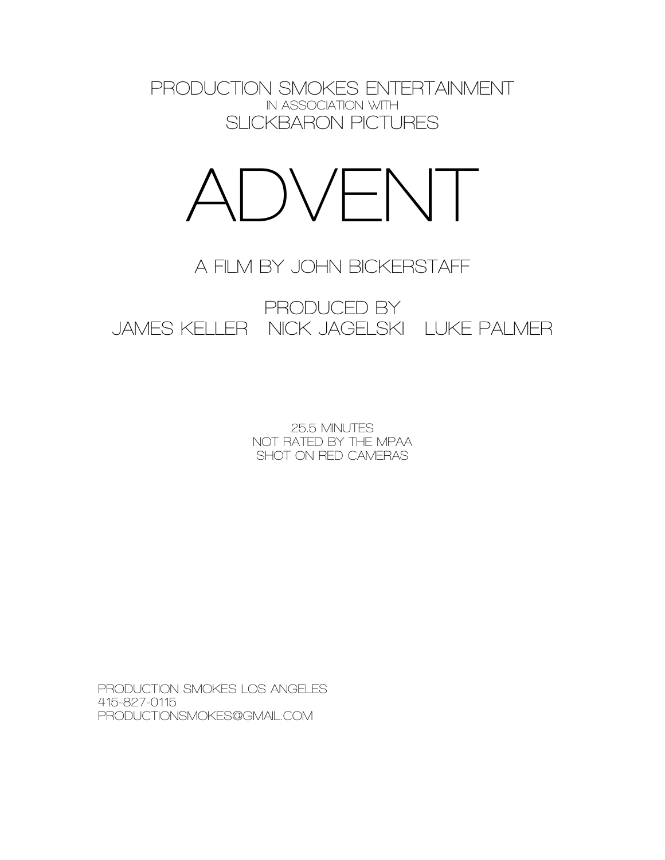**PRODUCTION SMOKES ENTERTAINMENT IN ASSOCIATION WITH SLICKBARON PICTURES**



# **A FILM BY JOHN BICKERSTAFF**

**PRODUCED BY JAMES KELLER NICK JAGELSKI LUKE PALMER**

> **25.5 MINUTES NOT RATED BY THE MPAA SHOT ON RED CAMERAS**

**PRODUCTION SMOKES LOS ANGELES 415-827-0115 PRODUCTIONSMOKES@GMAIL.COM**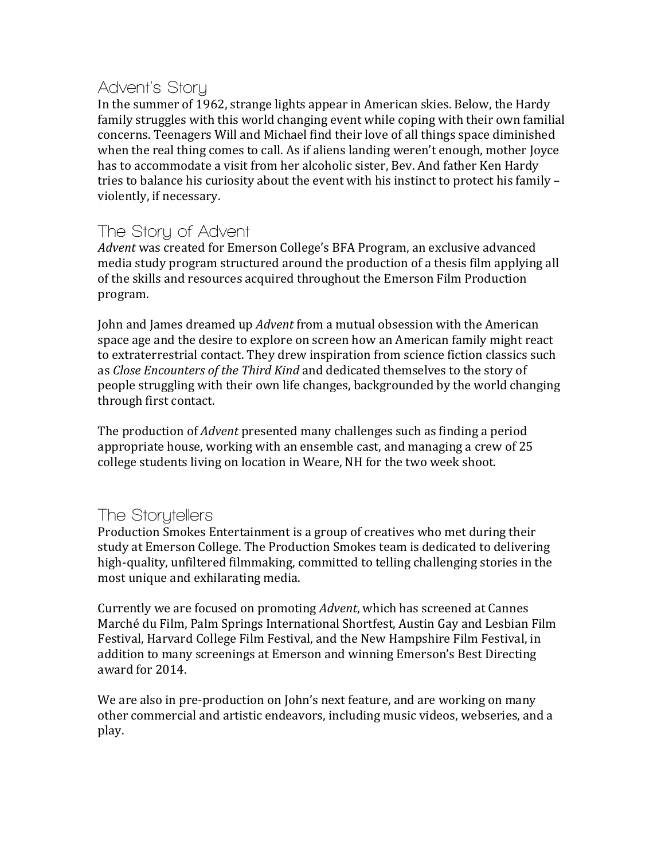## **Advent's Story**

In the summer of 1962, strange lights appear in American skies. Below, the Hardy family struggles with this world changing event while coping with their own familial concerns. Teenagers Will and Michael find their love of all things space diminished when the real thing comes to call. As if aliens landing weren't enough, mother loyce has to accommodate a visit from her alcoholic sister, Bev. And father Ken Hardy tries to balance his curiosity about the event with his instinct to protect his family  $$ violently, if necessary.

## **The Story of Advent**

Advent was created for Emerson College's BFA Program, an exclusive advanced media study program structured around the production of a thesis film applying all of the skills and resources acquired throughout the Emerson Film Production program.

John and James dreamed up *Advent* from a mutual obsession with the American space age and the desire to explore on screen how an American family might react to extraterrestrial contact. They drew inspiration from science fiction classics such as *Close Encounters of the Third Kind* and dedicated themselves to the story of people struggling with their own life changes, backgrounded by the world changing through first contact.

The production of *Advent* presented many challenges such as finding a period appropriate house, working with an ensemble cast, and managing a crew of 25 college students living on location in Weare, NH for the two week shoot.

## **The Storytellers**

Production Smokes Entertainment is a group of creatives who met during their study at Emerson College. The Production Smokes team is dedicated to delivering high-quality, unfiltered filmmaking, committed to telling challenging stories in the most unique and exhilarating media.

Currently we are focused on promoting *Advent*, which has screened at Cannes Marché du Film, Palm Springs International Shortfest, Austin Gay and Lesbian Film Festival, Harvard College Film Festival, and the New Hampshire Film Festival, in addition to many screenings at Emerson and winning Emerson's Best Directing award for 2014.

We are also in pre-production on John's next feature, and are working on many other commercial and artistic endeavors, including music videos, webseries, and a play.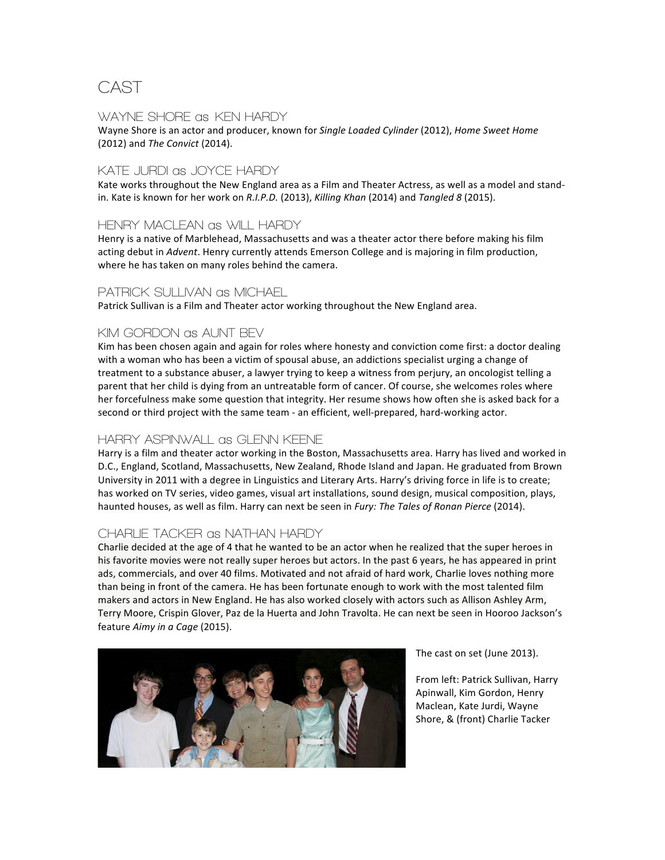## **CAST**

### **WAYNE SHORE as KEN HARDY**

Wayne Shore is an actor and producer, known for Single Loaded Cylinder (2012), *Home Sweet Home* (2012) and *The Convict* (2014).

### **KATE JURDI as JOYCE HARDY**

Kate works throughout the New England area as a Film and Theater Actress, as well as a model and standin. Kate is known for her work on *R.I.P.D.* (2013), *Killing Khan* (2014) and *Tangled 8* (2015).

### **HENRY MACLEAN as WILL HARDY**

Henry is a native of Marblehead, Massachusetts and was a theater actor there before making his film acting debut in *Advent*. Henry currently attends Emerson College and is majoring in film production, where he has taken on many roles behind the camera.

### **PATRICK SULLIVAN as MICHAEL**

Patrick Sullivan is a Film and Theater actor working throughout the New England area.

### **KIM GORDON as AUNT BEV**

Kim has been chosen again and again for roles where honesty and conviction come first: a doctor dealing with a woman who has been a victim of spousal abuse, an addictions specialist urging a change of treatment to a substance abuser, a lawyer trying to keep a witness from perjury, an oncologist telling a parent that her child is dying from an untreatable form of cancer. Of course, she welcomes roles where her forcefulness make some question that integrity. Her resume shows how often she is asked back for a second or third project with the same team - an efficient, well-prepared, hard-working actor.

### **HARRY ASPINWALL as GLENN KEENE**

Harry is a film and theater actor working in the Boston, Massachusetts area. Harry has lived and worked in D.C., England, Scotland, Massachusetts, New Zealand, Rhode Island and Japan. He graduated from Brown University in 2011 with a degree in Linguistics and Literary Arts. Harry's driving force in life is to create; has worked on TV series, video games, visual art installations, sound design, musical composition, plays, haunted houses, as well as film. Harry can next be seen in *Fury: The Tales of Ronan Pierce* (2014).

### **CHARLIE TACKER as NATHAN HARDY**

Charlie decided at the age of 4 that he wanted to be an actor when he realized that the super heroes in his favorite movies were not really super heroes but actors. In the past 6 years, he has appeared in print ads, commercials, and over 40 films. Motivated and not afraid of hard work, Charlie loves nothing more than being in front of the camera. He has been fortunate enough to work with the most talented film makers and actors in New England. He has also worked closely with actors such as Allison Ashley Arm, Terry Moore, Crispin Glover, Paz de la Huerta and John Travolta. He can next be seen in Hooroo Jackson's feature Aimy in a Cage (2015).



The cast on set (June 2013).

From left: Patrick Sullivan, Harry Apinwall, Kim Gordon, Henry Maclean, Kate Jurdi, Wayne Shore, & (front) Charlie Tacker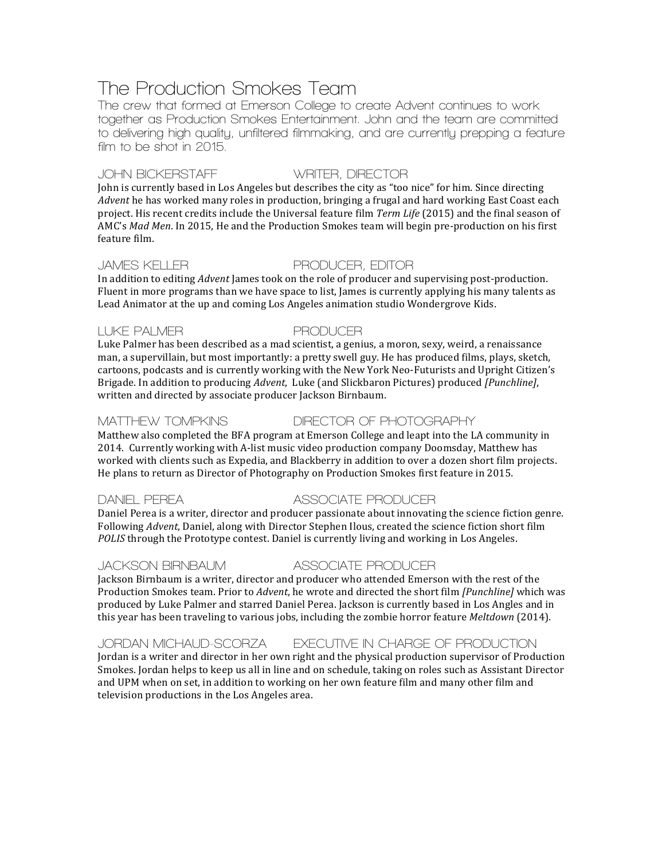# **The Production Smokes Team**

**The crew that formed at Emerson College to create Advent continues to work together as Production Smokes Entertainment. John and the team are committed to delivering high quality, unfiltered filmmaking, and are currently prepping a feature film to be shot in 2015.**

### **JOHN BICKERSTAFF WRITER, DIRECTOR**

John is currently based in Los Angeles but describes the city as "too nice" for him. Since directing *Advent* he has worked many roles in production, bringing a frugal and hard working East Coast each project. His recent credits include the Universal feature film *Term Life* (2015) and the final season of AMC's *Mad Men*. In 2015, He and the Production Smokes team will begin pre-production on his first feature film.

### **JAMES KELLER PRODUCER, EDITOR**

In addition to editing *Advent* James took on the role of producer and supervising post-production. Fluent in more programs than we have space to list, James is currently applying his many talents as Lead Animator at the up and coming Los Angeles animation studio Wondergrove Kids.

### **LUKE PALMER PRODUCER**

Luke Palmer has been described as a mad scientist, a genius, a moron, sexy, weird, a renaissance man, a supervillain, but most importantly: a pretty swell guy. He has produced films, plays, sketch, cartoons, podcasts and is currently working with the New York Neo-Futurists and Upright Citizen's Brigade. In addition to producing *Advent*, Luke (and Slickbaron Pictures) produced [Punchline], written and directed by associate producer Jackson Birnbaum.

### **MATTHEW TOMPKINS DIRECTOR OF PHOTOGRAPHY**

Matthew also completed the BFA program at Emerson College and leapt into the LA community in 2014. Currently working with A-list music video production company Doomsday, Matthew has worked with clients such as Expedia, and Blackberry in addition to over a dozen short film projects. He plans to return as Director of Photography on Production Smokes first feature in 2015.

### **DANIEL PEREA ASSOCIATE PRODUCER**

Daniel Perea is a writer, director and producer passionate about innovating the science fiction genre. Following *Advent*, Daniel, along with Director Stephen Ilous, created the science fiction short film *POLIS* through the Prototype contest. Daniel is currently living and working in Los Angeles.

### **JACKSON BIRNBAUM ASSOCIATE PRODUCER**

Jackson Birnbaum is a writer, director and producer who attended Emerson with the rest of the Production Smokes team. Prior to *Advent*, he wrote and directed the short film *[Punchline]* which was produced by Luke Palmer and starred Daniel Perea. Jackson is currently based in Los Angles and in this year has been traveling to various jobs, including the zombie horror feature *Meltdown* (2014).

### **JORDAN MICHAUD-SCORZA EXECUTIVE IN CHARGE OF PRODUCTION**

Jordan is a writer and director in her own right and the physical production supervisor of Production Smokes. Jordan helps to keep us all in line and on schedule, taking on roles such as Assistant Director and UPM when on set, in addition to working on her own feature film and many other film and television productions in the Los Angeles area.